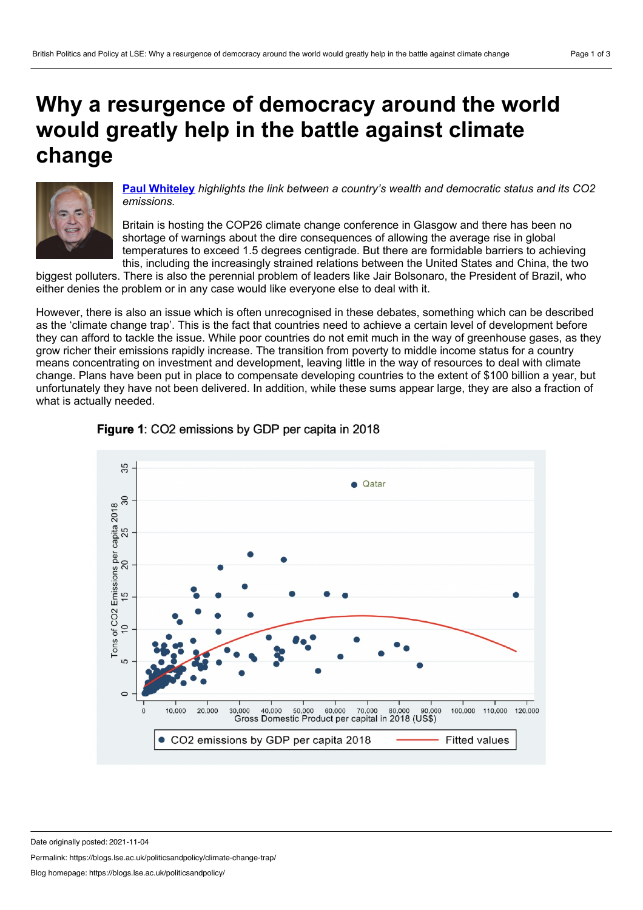## <span id="page-0-0"></span>**Why a resurgence of democracy around the world would greatly help in the battle against climate change**



**Paul [Whiteley](#page-0-0)** *highlights the link between a country's wealth and democratic status and its CO2 emissions.*

Britain is hosting the COP26 climate change conference in Glasgow and there has been no shortage of warnings about the dire consequences of allowing the average rise in global temperatures to exceed 1.5 degrees centigrade. But there are formidable barriers to achieving this, including the increasingly strained relations between the United States and China, the two

biggest polluters. There is also the perennial problem of leaders like Jair Bolsonaro, the President of Brazil, who either denies the problem or in any case would like everyone else to deal with it.

However, there is also an issue which is often unrecognised in these debates, something which can be described as the 'climate change trap'. This is the fact that countries need to achieve a certain level of development before they can afford to tackle the issue. While poor countries do not emit much in the way of greenhouse gases, as they grow richer their emissions rapidly increase. The transition from poverty to middle income status for a country means concentrating on investment and development, leaving little in the way of resources to deal with climate change. Plans have been put in place to compensate developing countries to the extent of \$100 billion a year, but unfortunately they have not been delivered. In addition, while these sums appear large, they are also a fraction of what is actually needed.



## **Figure 1: CO2 emissions by GDP per capita in 2018**

Date originally posted: 2021-11-04

Permalink: https://blogs.lse.ac.uk/politicsandpolicy/climate-change-trap/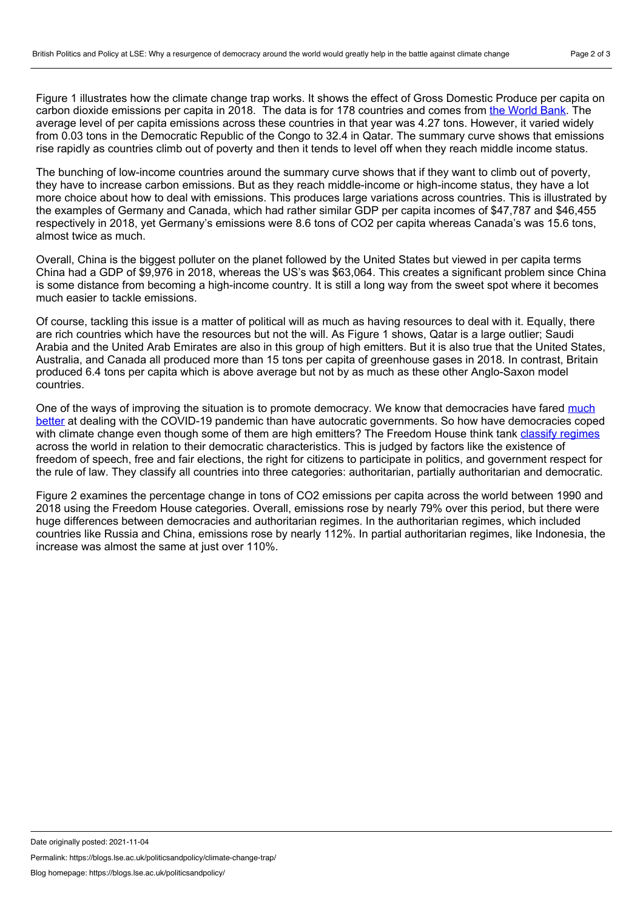Figure 1 illustrates how the climate change trap works. It shows the effect of Gross Domestic Produce per capita on carbon dioxide emissions per capita in 2018. The data is for 178 countries and comes from the [World](https://data.worldbank.org/indicator/EN.ATM.CO2E.PC) Bank. The average level of per capita emissions across these countries in that year was 4.27 tons. However, it varied widely from 0.03 tons in the Democratic Republic of the Congo to 32.4 in Qatar. The summary curve shows that emissions rise rapidly as countries climb out of poverty and then it tends to level off when they reach middle income status.

The bunching of low-income countries around the summary curve shows that if they want to climb out of poverty, they have to increase carbon emissions. But as they reach middle-income or high-income status, they have a lot more choice about how to deal with emissions. This produces large variations across countries. This is illustrated by the examples of Germany and Canada, which had rather similar GDP per capita incomes of \$47,787 and \$46,455 respectively in 2018, yet Germany's emissions were 8.6 tons of CO2 per capita whereas Canada's was 15.6 tons, almost twice as much.

Overall, China is the biggest polluter on the planet followed by the United States but viewed in per capita terms China had a GDP of \$9,976 in 2018, whereas the US's was \$63,064. This creates a significant problem since China is some distance from becoming a high-income country. It is still a long way from the sweet spot where it becomes much easier to tackle emissions.

Of course, tackling this issue is a matter of political will as much as having resources to deal with it. Equally, there are rich countries which have the resources but not the will. As Figure 1 shows, Qatar is a large outlier; Saudi Arabia and the United Arab Emirates are also in this group of high emitters. But it is also true that the United States, Australia, and Canada all produced more than 15 tons per capita of greenhouse gases in 2018. In contrast, Britain produced 6.4 tons per capita which is above average but not by as much as these other Anglo-Saxon model countries.

One of the ways of improving the situation is to promote democracy. We know that democracies have fared much better at dealing with the COVID-19 pandemic than have autocratic [governments.](https://theconversation.com/covid-19-how-democracies-have-fared-compared-with-authoritarian-regimes-165415) So how have democracies coped with climate change even though some of them are high emitters? The Freedom House think tank classify [regimes](https://freedomhouse.org/report/freedom-world/2021/democracy-under-siege) across the world in relation to their democratic characteristics. This is judged by factors like the existence of freedom of speech, free and fair elections, the right for citizens to participate in politics, and government respect for the rule of law. They classify all countries into three categories: authoritarian, partially authoritarian and democratic.

Figure 2 examines the percentage change in tons of CO2 emissions per capita across the world between 1990 and 2018 using the Freedom House categories. Overall, emissions rose by nearly 79% over this period, but there were huge differences between democracies and authoritarian regimes. In the authoritarian regimes, which included countries like Russia and China, emissions rose by nearly 112%. In partial authoritarian regimes, like Indonesia, the increase was almost the same at just over 110%.

Permalink: https://blogs.lse.ac.uk/politicsandpolicy/climate-change-trap/